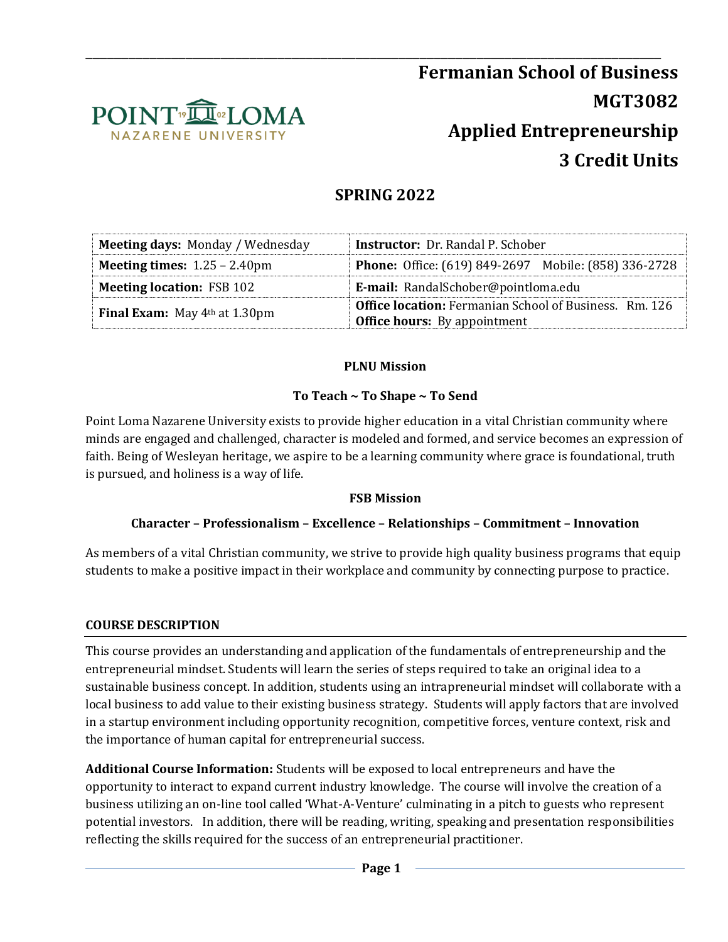

# **SPRING 2022**

| Meeting days: Monday / Wednesday              | <b>Instructor:</b> Dr. Randal P. Schober                                                             |  |
|-----------------------------------------------|------------------------------------------------------------------------------------------------------|--|
| <b>Meeting times:</b> $1.25 - 2.40 \text{pm}$ | <b>Phone:</b> Office: (619) 849-2697 Mobile: (858) 336-2728                                          |  |
| <b>Meeting location: FSB 102</b>              | E-mail: RandalSchober@pointloma.edu                                                                  |  |
| <b>Final Exam:</b> May $4th$ at 1.30pm        | <b>Office location:</b> Fermanian School of Business. Rm. 126<br><b>Office hours:</b> By appointment |  |

### **PLNU Mission**

### **To Teach ~ To Shape ~ To Send**

Point Loma Nazarene University exists to provide higher education in a vital Christian community where minds are engaged and challenged, character is modeled and formed, and service becomes an expression of faith. Being of Wesleyan heritage, we aspire to be a learning community where grace is foundational, truth is pursued, and holiness is a way of life.

#### **FSB Mission**

### **Character – Professionalism – Excellence – Relationships – Commitment – Innovation**

As members of a vital Christian community, we strive to provide high quality business programs that equip students to make a positive impact in their workplace and community by connecting purpose to practice.

### **COURSE DESCRIPTION**

This course provides an understanding and application of the fundamentals of entrepreneurship and the entrepreneurial mindset. Students will learn the series of steps required to take an original idea to a sustainable business concept. In addition, students using an intrapreneurial mindset will collaborate with a local business to add value to their existing business strategy. Students will apply factors that are involved in a startup environment including opportunity recognition, competitive forces, venture context, risk and the importance of human capital for entrepreneurial success.

**Additional Course Information:** Students will be exposed to local entrepreneurs and have the opportunity to interact to expand current industry knowledge. The course will involve the creation of a business utilizing an on-line tool called 'What-A-Venture' culminating in a pitch to guests who represent potential investors. In addition, there will be reading, writing, speaking and presentation responsibilities reflecting the skills required for the success of an entrepreneurial practitioner.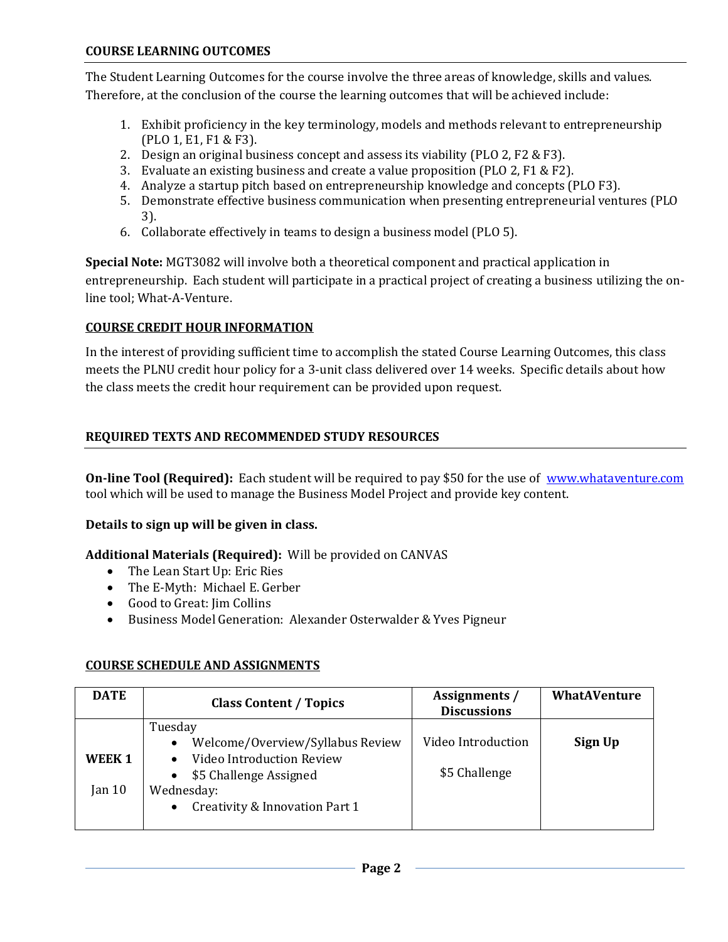The Student Learning Outcomes for the course involve the three areas of knowledge, skills and values. Therefore, at the conclusion of the course the learning outcomes that will be achieved include:

- 1. Exhibit proficiency in the key terminology, models and methods relevant to entrepreneurship (PLO 1, E1, F1 & F3).
- 2. Design an original business concept and assess its viability (PLO 2, F2 & F3).
- 3. Evaluate an existing business and create a value proposition (PLO 2, F1 & F2).
- 4. Analyze a startup pitch based on entrepreneurship knowledge and concepts (PLO F3).
- 5. Demonstrate effective business communication when presenting entrepreneurial ventures (PLO 3).
- 6. Collaborate effectively in teams to design a business model (PLO 5).

**Special Note:** MGT3082 will involve both a theoretical component and practical application in entrepreneurship. Each student will participate in a practical project of creating a business utilizing the online tool; What-A-Venture.

### **COURSE CREDIT HOUR INFORMATION**

In the interest of providing sufficient time to accomplish the stated Course Learning Outcomes, this class meets the PLNU credit hour policy for a 3-unit class delivered over 14 weeks. Specific details about how the class meets the credit hour requirement can be provided upon request.

### **REQUIRED TEXTS AND RECOMMENDED STUDY RESOURCES**

**On-line Tool (Required):** Each student will be required to pay \$50 for the use of [www.whataventure.com](http://www.whataventure.com/) tool which will be used to manage the Business Model Project and provide key content.

### **Details to sign up will be given in class.**

### **Additional Materials (Required):** Will be provided on CANVAS

- The Lean Start Up: Eric Ries
- The E-Myth: Michael E. Gerber
- Good to Great: Iim Collins
- Business Model Generation: Alexander Osterwalder & Yves Pigneur

### **COURSE SCHEDULE AND ASSIGNMENTS**

| <b>DATE</b>                            | <b>Class Content / Topics</b>                                                                                                                                                | Assignments /<br><b>Discussions</b> | <b>WhatAVenture</b> |
|----------------------------------------|------------------------------------------------------------------------------------------------------------------------------------------------------------------------------|-------------------------------------|---------------------|
| WEEK <sub>1</sub><br>Jan <sub>10</sub> | Tuesday<br>Welcome/Overview/Syllabus Review<br>$\bullet$<br>Video Introduction Review<br>\$5 Challenge Assigned<br>Wednesday:<br>Creativity & Innovation Part 1<br>$\bullet$ | Video Introduction<br>\$5 Challenge | Sign Up             |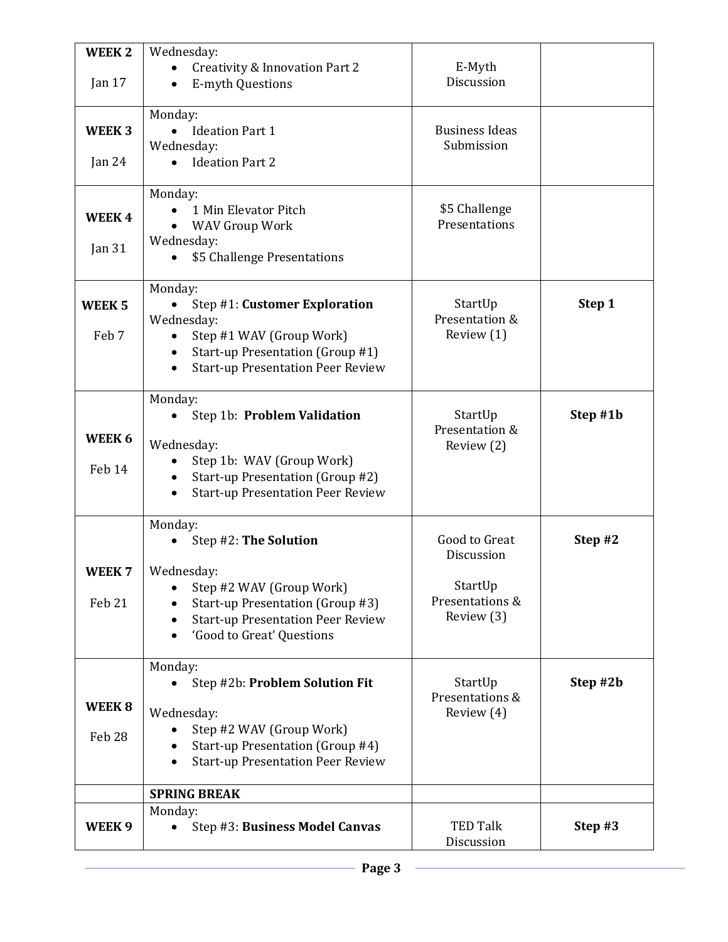| <b>WEEK2</b>      | Wednesday:                                                                   |                               |          |
|-------------------|------------------------------------------------------------------------------|-------------------------------|----------|
|                   | <b>Creativity &amp; Innovation Part 2</b>                                    | E-Myth                        |          |
| Jan 17            | <b>E-myth Questions</b>                                                      | Discussion                    |          |
|                   | Monday:                                                                      |                               |          |
| WEEK <sub>3</sub> | <b>Ideation Part 1</b>                                                       | <b>Business Ideas</b>         |          |
|                   | Wednesday:                                                                   | Submission                    |          |
| Jan $24$          | <b>Ideation Part 2</b>                                                       |                               |          |
|                   |                                                                              |                               |          |
|                   | Monday:                                                                      |                               |          |
| WEEK4             | 1 Min Elevator Pitch                                                         | \$5 Challenge                 |          |
|                   | <b>WAV Group Work</b>                                                        | Presentations                 |          |
| Jan $31$          | Wednesday:<br>\$5 Challenge Presentations                                    |                               |          |
|                   |                                                                              |                               |          |
|                   | Monday:                                                                      |                               |          |
| WEEK <sub>5</sub> | Step #1: Customer Exploration                                                | StartUp                       | Step 1   |
|                   | Wednesday:                                                                   | Presentation &                |          |
| Feb 7             | Step #1 WAV (Group Work)<br>$\bullet$                                        | Review (1)                    |          |
|                   | Start-up Presentation (Group #1)                                             |                               |          |
|                   | <b>Start-up Presentation Peer Review</b>                                     |                               |          |
|                   | Monday:                                                                      |                               |          |
|                   | Step 1b: Problem Validation                                                  | StartUp                       | Step #1b |
| WEEK 6            |                                                                              | Presentation &                |          |
|                   | Wednesday:                                                                   | Review (2)                    |          |
| Feb 14            | Step 1b: WAV (Group Work)                                                    |                               |          |
|                   | Start-up Presentation (Group #2)<br><b>Start-up Presentation Peer Review</b> |                               |          |
|                   |                                                                              |                               |          |
|                   | Monday:                                                                      |                               |          |
|                   | Step #2: The Solution                                                        | Good to Great                 | Step #2  |
|                   |                                                                              | Discussion                    |          |
| WEEK <sub>7</sub> | Wednesday:                                                                   |                               |          |
| Feb 21            | Step #2 WAV (Group Work)<br>Start-up Presentation (Group #3)                 | StartUp<br>Presentations &    |          |
|                   | <b>Start-up Presentation Peer Review</b>                                     | Review (3)                    |          |
|                   | 'Good to Great' Questions<br>$\bullet$                                       |                               |          |
|                   |                                                                              |                               |          |
|                   | Monday:                                                                      |                               |          |
|                   | Step #2b: Problem Solution Fit                                               | StartUp                       | Step #2b |
| WEEK <sub>8</sub> | Wednesday:                                                                   | Presentations &<br>Review (4) |          |
|                   | Step #2 WAV (Group Work)                                                     |                               |          |
| Feb 28            | Start-up Presentation (Group #4)                                             |                               |          |
|                   | <b>Start-up Presentation Peer Review</b>                                     |                               |          |
|                   |                                                                              |                               |          |
|                   | <b>SPRING BREAK</b>                                                          |                               |          |
|                   | Monday:                                                                      |                               |          |
| WEEK <sub>9</sub> | Step #3: Business Model Canvas                                               | <b>TED Talk</b><br>Discussion | Step #3  |
|                   |                                                                              |                               |          |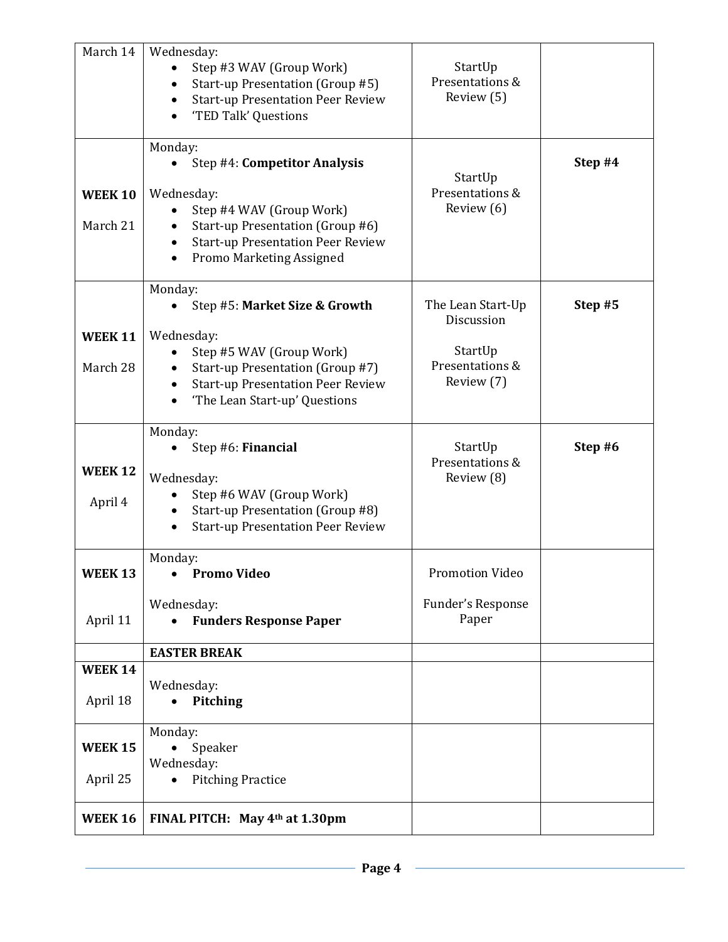| March 14                   | Wednesday:<br>Step #3 WAV (Group Work)<br>Start-up Presentation (Group #5)<br><b>Start-up Presentation Peer Review</b><br>'TED Talk' Questions<br>Monday:                                           | StartUp<br>Presentations &<br>Review (5)                                    |         |
|----------------------------|-----------------------------------------------------------------------------------------------------------------------------------------------------------------------------------------------------|-----------------------------------------------------------------------------|---------|
| <b>WEEK 10</b><br>March 21 | Step #4: Competitor Analysis<br>Wednesday:<br>Step #4 WAV (Group Work)<br>Start-up Presentation (Group #6)<br><b>Start-up Presentation Peer Review</b><br>Promo Marketing Assigned<br>$\bullet$     | StartUp<br>Presentations &<br>Review (6)                                    | Step #4 |
| <b>WEEK 11</b><br>March 28 | Monday:<br>Step #5: Market Size & Growth<br>Wednesday:<br>Step #5 WAV (Group Work)<br>Start-up Presentation (Group #7)<br><b>Start-up Presentation Peer Review</b><br>'The Lean Start-up' Questions | The Lean Start-Up<br>Discussion<br>StartUp<br>Presentations &<br>Review (7) | Step #5 |
| <b>WEEK 12</b><br>April 4  | Monday:<br>Step #6: Financial<br>Wednesday:<br>Step #6 WAV (Group Work)<br>Start-up Presentation (Group #8)<br><b>Start-up Presentation Peer Review</b>                                             | StartUp<br>Presentations &<br>Review (8)                                    | Step #6 |
| <b>WEEK 13</b>             | Monday:<br><b>Promo Video</b><br>Wednesday:                                                                                                                                                         | Promotion Video<br>Funder's Response<br>Paper                               |         |
| April 11                   | <b>Funders Response Paper</b>                                                                                                                                                                       |                                                                             |         |
| <b>WEEK 14</b>             | <b>EASTER BREAK</b>                                                                                                                                                                                 |                                                                             |         |
| April 18                   | Wednesday:<br><b>Pitching</b><br>$\bullet$                                                                                                                                                          |                                                                             |         |
| <b>WEEK 15</b><br>April 25 | Monday:<br>Speaker<br>Wednesday:<br><b>Pitching Practice</b>                                                                                                                                        |                                                                             |         |
| <b>WEEK 16</b>             | FINAL PITCH: May 4th at 1.30pm                                                                                                                                                                      |                                                                             |         |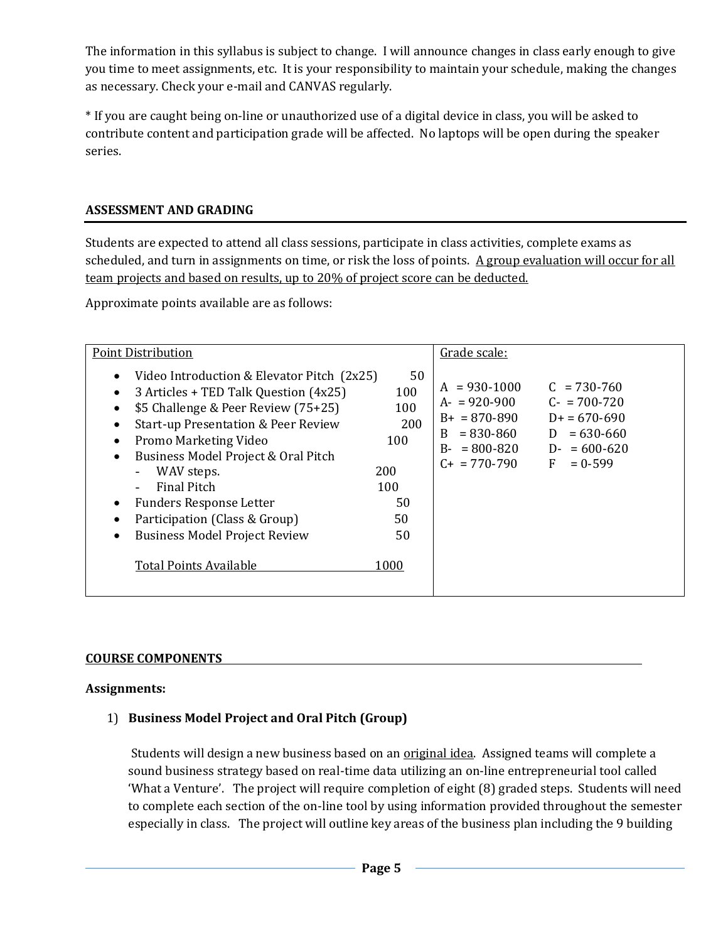The information in this syllabus is subject to change. I will announce changes in class early enough to give you time to meet assignments, etc. It is your responsibility to maintain your schedule, making the changes as necessary. Check your e-mail and CANVAS regularly.

\* If you are caught being on-line or unauthorized use of a digital device in class, you will be asked to contribute content and participation grade will be affected. No laptops will be open during the speaker series.

### **ASSESSMENT AND GRADING**

Students are expected to attend all class sessions, participate in class activities, complete exams as scheduled, and turn in assignments on time, or risk the loss of points. A group evaluation will occur for all team projects and based on results, up to 20% of project score can be deducted.

Approximate points available are as follows:

| <b>Point Distribution</b>                                                                                                                                                                                                                                                                                                                                                                                                                                                                                                                                        | Grade scale:                                                                                                                                                                                                                                                       |
|------------------------------------------------------------------------------------------------------------------------------------------------------------------------------------------------------------------------------------------------------------------------------------------------------------------------------------------------------------------------------------------------------------------------------------------------------------------------------------------------------------------------------------------------------------------|--------------------------------------------------------------------------------------------------------------------------------------------------------------------------------------------------------------------------------------------------------------------|
| Video Introduction & Elevator Pitch (2x25)<br>3 Articles + TED Talk Question (4x25)<br>$\bullet$<br>\$5 Challenge & Peer Review (75+25)<br><b>Start-up Presentation &amp; Peer Review</b><br>$\bullet$<br>100<br>Promo Marketing Video<br>$\bullet$<br>Business Model Project & Oral Pitch<br>$\bullet$<br>200<br>WAV steps.<br>$\overline{\phantom{0}}$<br><b>Final Pitch</b><br>100<br>۰<br><b>Funders Response Letter</b><br>50<br>Participation (Class & Group)<br>50<br><b>Business Model Project Review</b><br>50<br><b>Total Points Available</b><br>1000 | 50<br>$A = 930 - 1000$<br>$C = 730 - 760$<br>100<br>$C - 700 - 720$<br>$A = 920 - 900$<br>100<br>$B+ = 870-890$<br>$D+ = 670-690$<br>200<br>$= 830 - 860$<br>$= 630 - 660$<br>B.<br>D<br>$B - 800 - 820$<br>$D - 600 - 620$<br>$C_{+}$ = 770-790<br>F<br>$= 0.599$ |

### **COURSE COMPONENTS**

### **Assignments:**

## 1) **Business Model Project and Oral Pitch (Group)**

Students will design a new business based on an original idea. Assigned teams will complete a sound business strategy based on real-time data utilizing an on-line entrepreneurial tool called 'What a Venture'. The project will require completion of eight (8) graded steps. Students will need to complete each section of the on-line tool by using information provided throughout the semester especially in class. The project will outline key areas of the business plan including the 9 building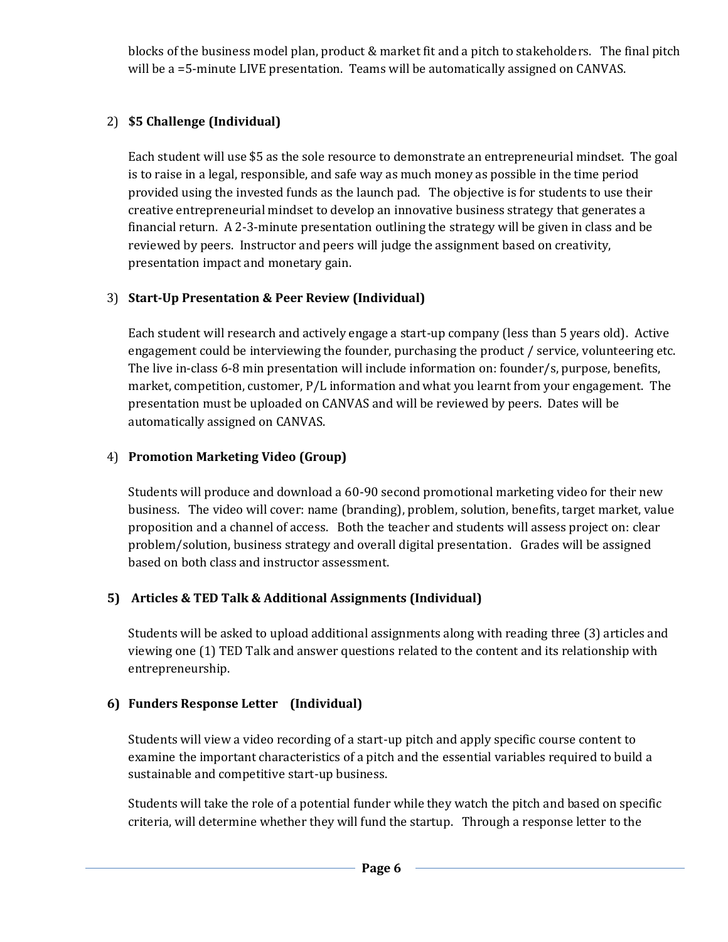blocks of the business model plan, product & market fit and a pitch to stakeholders. The final pitch will be a =5-minute LIVE presentation. Teams will be automatically assigned on CANVAS.

## 2) **\$5 Challenge (Individual)**

Each student will use \$5 as the sole resource to demonstrate an entrepreneurial mindset. The goal is to raise in a legal, responsible, and safe way as much money as possible in the time period provided using the invested funds as the launch pad. The objective is for students to use their creative entrepreneurial mindset to develop an innovative business strategy that generates a financial return. A 2-3-minute presentation outlining the strategy will be given in class and be reviewed by peers. Instructor and peers will judge the assignment based on creativity, presentation impact and monetary gain.

## 3) **Start-Up Presentation & Peer Review (Individual)**

Each student will research and actively engage a start-up company (less than 5 years old). Active engagement could be interviewing the founder, purchasing the product / service, volunteering etc. The live in-class 6-8 min presentation will include information on: founder/s, purpose, benefits, market, competition, customer, P/L information and what you learnt from your engagement. The presentation must be uploaded on CANVAS and will be reviewed by peers. Dates will be automatically assigned on CANVAS.

## 4) **Promotion Marketing Video (Group)**

Students will produce and download a 60-90 second promotional marketing video for their new business. The video will cover: name (branding), problem, solution, benefits, target market, value proposition and a channel of access. Both the teacher and students will assess project on: clear problem/solution, business strategy and overall digital presentation. Grades will be assigned based on both class and instructor assessment.

## **5) Articles & TED Talk & Additional Assignments (Individual)**

Students will be asked to upload additional assignments along with reading three (3) articles and viewing one (1) TED Talk and answer questions related to the content and its relationship with entrepreneurship.

## **6) Funders Response Letter (Individual)**

Students will view a video recording of a start-up pitch and apply specific course content to examine the important characteristics of a pitch and the essential variables required to build a sustainable and competitive start-up business.

Students will take the role of a potential funder while they watch the pitch and based on specific criteria, will determine whether they will fund the startup. Through a response letter to the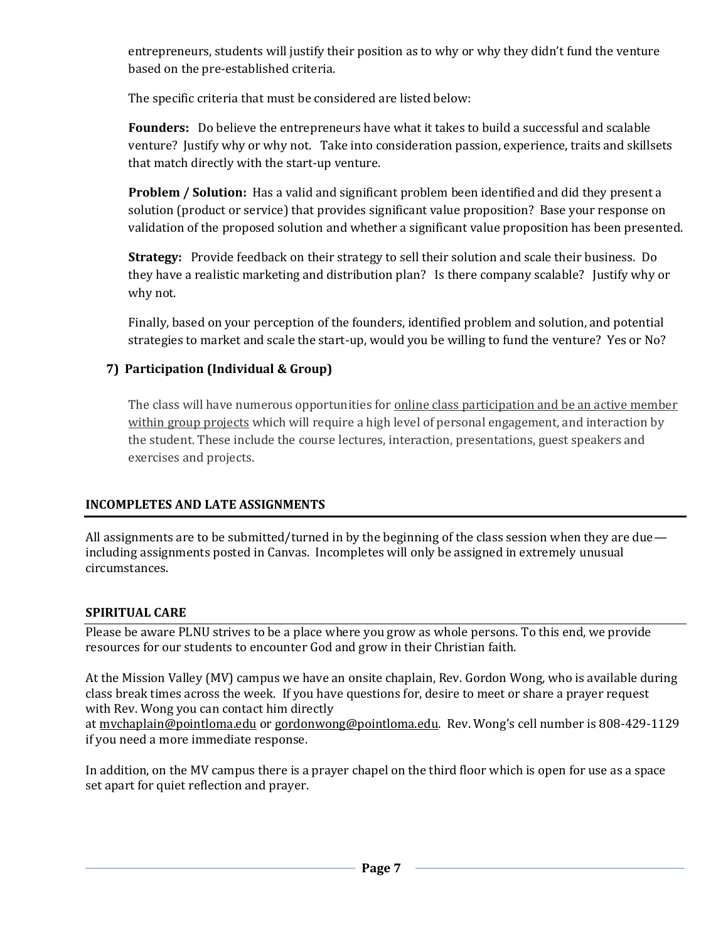entrepreneurs, students will justify their position as to why or why they didn't fund the venture based on the pre-established criteria.

The specific criteria that must be considered are listed below:

**Founders:** Do believe the entrepreneurs have what it takes to build a successful and scalable venture? Justify why or why not. Take into consideration passion, experience, traits and skillsets that match directly with the start-up venture.

**Problem / Solution:** Has a valid and significant problem been identified and did they present a solution (product or service) that provides significant value proposition? Base your response on validation of the proposed solution and whether a significant value proposition has been presented.

**Strategy:** Provide feedback on their strategy to sell their solution and scale their business. Do they have a realistic marketing and distribution plan? Is there company scalable? Justify why or why not.

Finally, based on your perception of the founders, identified problem and solution, and potential strategies to market and scale the start-up, would you be willing to fund the venture? Yes or No?

## **7) Participation (Individual & Group)**

The class will have numerous opportunities for online class participation and be an active member within group projects which will require a high level of personal engagement, and interaction by the student. These include the course lectures, interaction, presentations, guest speakers and exercises and projects.

## **INCOMPLETES AND LATE ASSIGNMENTS**

All assignments are to be submitted/turned in by the beginning of the class session when they are due including assignments posted in Canvas. Incompletes will only be assigned in extremely unusual circumstances.

### **SPIRITUAL CARE**

Please be aware PLNU strives to be a place where you grow as whole persons. To this end, we provide resources for our students to encounter God and grow in their Christian faith.

At the Mission Valley (MV) campus we have an onsite chaplain, Rev. Gordon Wong, who is available during class break times across the week. If you have questions for, desire to meet or share a prayer request with Rev. Wong you can contact him directly

at [mvchaplain@pointloma.edu](mailto:mvchaplain@pointloma.edu) or [gordonwong@pointloma.edu.](mailto:gordonwong@pointloma.edu) Rev. Wong's cell number is 808-429-1129 if you need a more immediate response.

In addition, on the MV campus there is a prayer chapel on the third floor which is open for use as a space set apart for quiet reflection and prayer.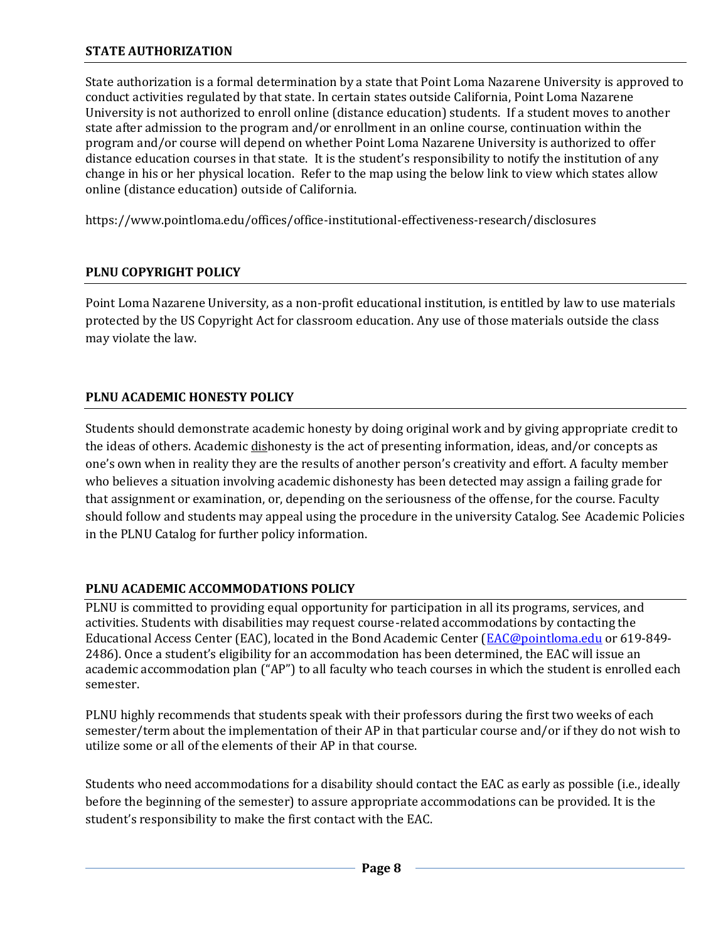### **STATE AUTHORIZATION**

State authorization is a formal determination by a state that Point Loma Nazarene University is approved to conduct activities regulated by that state. In certain states outside California, Point Loma Nazarene University is not authorized to enroll online (distance education) students. If a student moves to another state after admission to the program and/or enrollment in an online course, continuation within the program and/or course will depend on whether Point Loma Nazarene University is authorized to offer distance education courses in that state. It is the student's responsibility to notify the institution of any change in his or her physical location. Refer to the map using the below link to view which states allow online (distance education) outside of California.

<https://www.pointloma.edu/offices/office-institutional-effectiveness-research/disclosures>

### **PLNU COPYRIGHT POLICY**

Point Loma Nazarene University, as a non-profit educational institution, is entitled by law to use materials protected by the US Copyright Act for classroom education. Any use of those materials outside the class may violate the law.

### **PLNU ACADEMIC HONESTY POLICY**

Students should demonstrate academic honesty by doing original work and by giving appropriate credit to the ideas of others. Academic dishonesty is the act of presenting information, ideas, and/or concepts as one's own when in reality they are the results of another person's creativity and effort. A faculty member who believes a situation involving academic dishonesty has been detected may assign a failing grade for that assignment or examination, or, depending on the seriousness of the offense, for the course. Faculty should follow and students may appeal using the procedure in the university Catalog. See Academic Policies in the PLNU Catalog for further policy information.

### **PLNU ACADEMIC ACCOMMODATIONS POLICY**

PLNU is committed to providing equal opportunity for participation in all its programs, services, and activities. Students with disabilities may request course-related accommodations by contacting the Educational Access Center (EAC), located in the Bond Academic Center [\(EAC@pointloma.edu](mailto:EAC@pointloma.edu) or 619-849- 2486). Once a student's eligibility for an accommodation has been determined, the EAC will issue an academic accommodation plan ("AP") to all faculty who teach courses in which the student is enrolled each semester.

PLNU highly recommends that students speak with their professors during the first two weeks of each semester/term about the implementation of their AP in that particular course and/or if they do not wish to utilize some or all of the elements of their AP in that course.

Students who need accommodations for a disability should contact the EAC as early as possible (i.e., ideally before the beginning of the semester) to assure appropriate accommodations can be provided. It is the student's responsibility to make the first contact with the EAC.